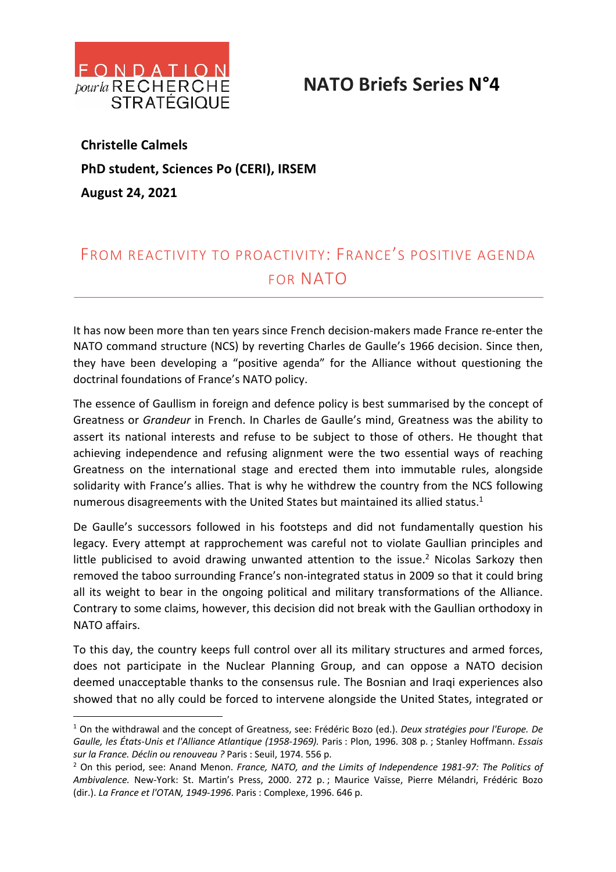

## **NATO Briefs Series N°4**

**Christelle Calmels PhD student, Sciences Po (CERI), IRSEM August 24, 2021**

## FROM REACTIVITY TO PROACTIVITY: FRANCE'S POSITIVE AGENDA FOR NATO

It has now been more than ten years since French decision-makers made France re-enter the NATO command structure (NCS) by reverting Charles de Gaulle's 1966 decision. Since then, they have been developing a "positive agenda" for the Alliance without questioning the doctrinal foundations of France's NATO policy.

The essence of Gaullism in foreign and defence policy is best summarised by the concept of Greatness or *Grandeur* in French. In Charles de Gaulle's mind, Greatness was the ability to assert its national interests and refuse to be subject to those of others. He thought that achieving independence and refusing alignment were the two essential ways of reaching Greatness on the international stage and erected them into immutable rules, alongside solidarity with France's allies. That is why he withdrew the country from the NCS following numerous disagreements with the United States but maintained its allied status. $1$ 

De Gaulle's successors followed in his footsteps and did not fundamentally question his legacy. Every attempt at rapprochement was careful not to violate Gaullian principles and little publicised to avoid drawing unwanted attention to the issue.<sup>2</sup> Nicolas Sarkozy then removed the taboo surrounding France's non-integrated status in 2009 so that it could bring all its weight to bear in the ongoing political and military transformations of the Alliance. Contrary to some claims, however, this decision did not break with the Gaullian orthodoxy in NATO affairs.

To this day, the country keeps full control over all its military structures and armed forces, does not participate in the Nuclear Planning Group, and can oppose a NATO decision deemed unacceptable thanks to the consensus rule. The Bosnian and Iraqi experiences also showed that no ally could be forced to intervene alongside the United States, integrated or

<sup>1</sup> On the withdrawal and the concept of Greatness, see: Frédéric Bozo (ed.). *Deux stratégies pour l'Europe. De Gaulle, les États-Unis et l'Alliance Atlantique (1958-1969).* Paris : Plon, 1996. 308 p. ; Stanley Hoffmann. *Essais sur la France. Déclin ou renouveau ?* Paris : Seuil, 1974. 556 p.

<sup>2</sup> On this period, see: Anand Menon. *France, NATO, and the Limits of Independence 1981-97: The Politics of Ambivalence.* New-York: St. Martin's Press, 2000. 272 p. ; Maurice Vaïsse, Pierre Mélandri, Frédéric Bozo (dir.). *La France et l'OTAN, 1949-1996*. Paris : Complexe, 1996. 646 p.